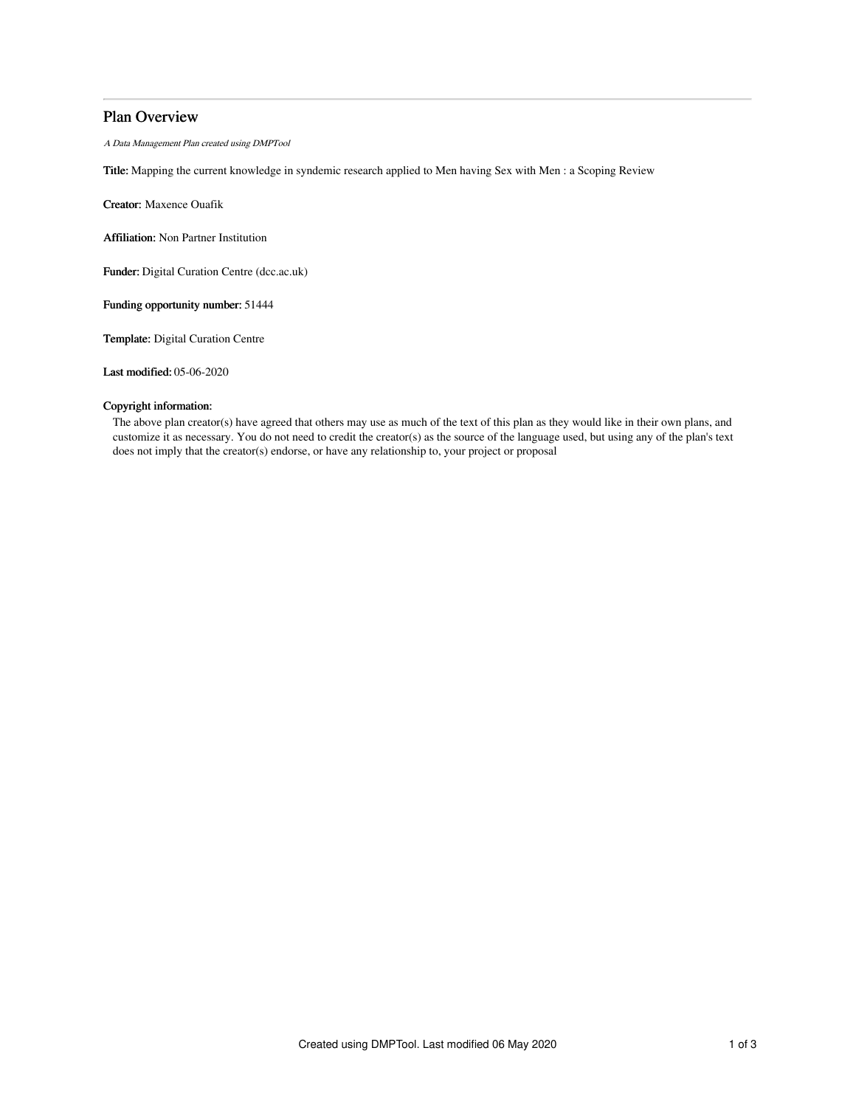# Plan Overview

A Data Management Plan created using DMPTool

Title: Mapping the current knowledge in syndemic research applied to Men having Sex with Men : a Scoping Review

Creator: Maxence Ouafik

Affiliation: Non Partner Institution

Funder: Digital Curation Centre (dcc.ac.uk)

Funding opportunity number: 51444

Template: Digital Curation Centre

Last modified: 05-06-2020

## Copyright information:

The above plan creator(s) have agreed that others may use as much of the text of this plan as they would like in their own plans, and customize it as necessary. You do not need to credit the creator(s) as the source of the language used, but using any of the plan's text does not imply that the creator(s) endorse, or have any relationship to, your project or proposal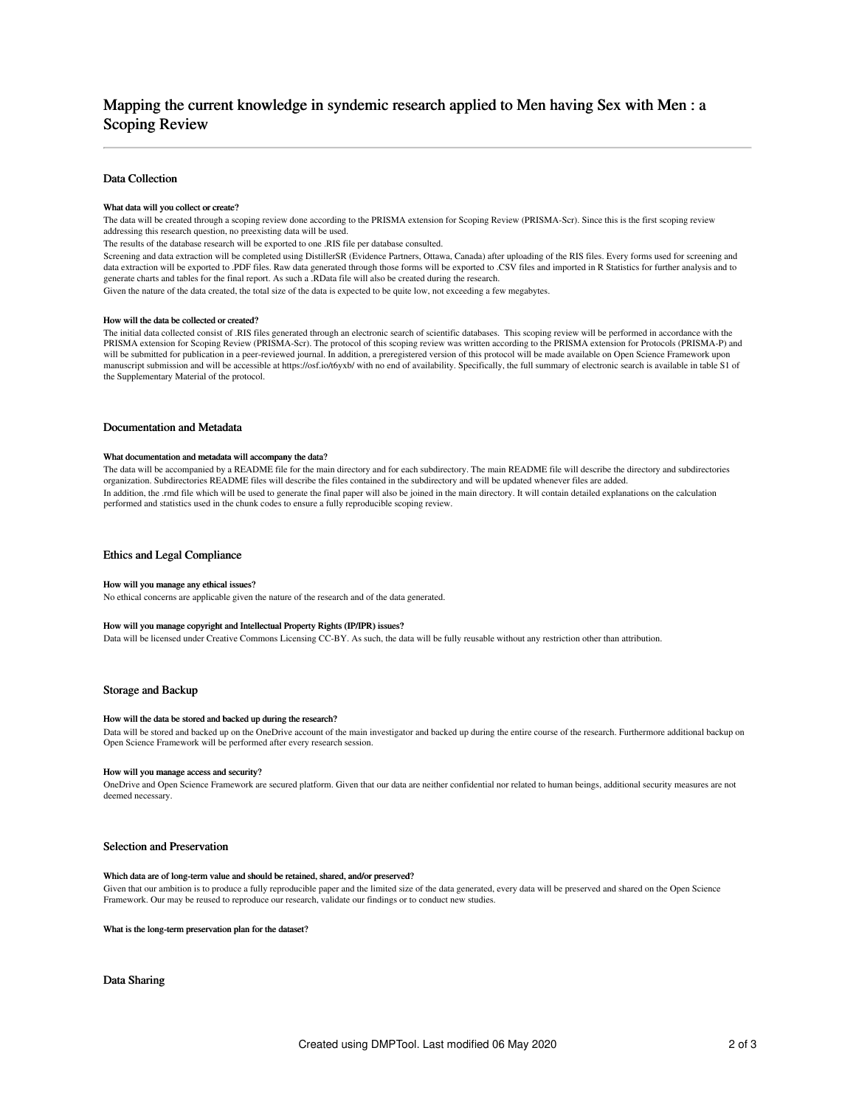# Mapping the current knowledge in syndemic research applied to Men having Sex with Men : a Scoping Review

### Data Collection

#### What data will you collect or create?

The data will be created through a scoping review done according to the PRISMA extension for Scoping Review (PRISMA-Scr). Since this is the first scoping review addressing this research question, no preexisting data will be used.

The results of the database research will be exported to one .RIS file per database consulted.

Screening and data extraction will be completed using DistillerSR (Evidence Partners, Ottawa, Canada) after uploading of the RIS files. Every forms used for screening and data extraction will be exported to .PDF files. Raw data generated through those forms will be exported to .CSV files and imported in R Statistics for further analysis and to<br>generate charts and tables for the final report

Given the nature of the data created, the total size of the data is expected to be quite low, not exceeding a few megabytes.

#### How will the data be collected or created?

The initial data collected consist of .RIS files generated through an electronic search of scientific databases. This scoping review will be performed in accordance with the PRISMA extension for Scoping Review (PRISMA-Scr). The protocol of this scoping review was written according to the PRISMA extension for Protocols (PRISMA-P) and will be submitted for publication in a peer-reviewed journal. In addition, a preregistered version of this protocol will be made available on Open Science Framework upon manuscript submission and will be accessible at https://osf.io/t6yxb/ with no end of availability. Specifically, the full summary of electronic search is available in table S1 of the Supplementary Material of the protocol.

#### Documentation and Metadata

#### What documentation and metadata will accompany the data?

The data will be accompanied by a README file for the main directory and for each subdirectory. The main README file will describe the directory and subdirectories organization. Subdirectories README files will describe the files contained in the subdirectory and will be updated whenever files are added. In addition, the .rmd file which will be used to generate the final paper will also be joined in the main directory. It will contain detailed explanations on the calculation performed and statistics used in the chunk codes to ensure a fully reproducible scoping review.

### Ethics and Legal Compliance

#### How will you manage any ethical issues?

No ethical concerns are applicable given the nature of the research and of the data generated.

### How will you manage copyright and Intellectual Property Rights (IP/IPR) issues?

Data will be licensed under Creative Commons Licensing CC-BY. As such, the data will be fully reusable without any restriction other than attribution.

### Storage and Backup

#### How will the data be stored and backed up during the research?

Data will be stored and backed up on the OneDrive account of the main investigator and backed up during the entire course of the research. Furthermore additional backup on Open Science Framework will be performed after every research session.

#### How will you manage access and security?

OneDrive and Open Science Framework are secured platform. Given that our data are neither confidential nor related to human beings, additional security measures are not deemed necessary.

### Selection and Preservation

### Which data are of long-term value and should be retained, shared, and/or preserved?

Given that our ambition is to produce a fully reproducible paper and the limited size of the data generated, every data will be preserved and shared on the Open Science Framework. Our may be reused to reproduce our research, validate our findings or to conduct new studies.

What is the long-term preservation plan for the dataset?

Data Sharing